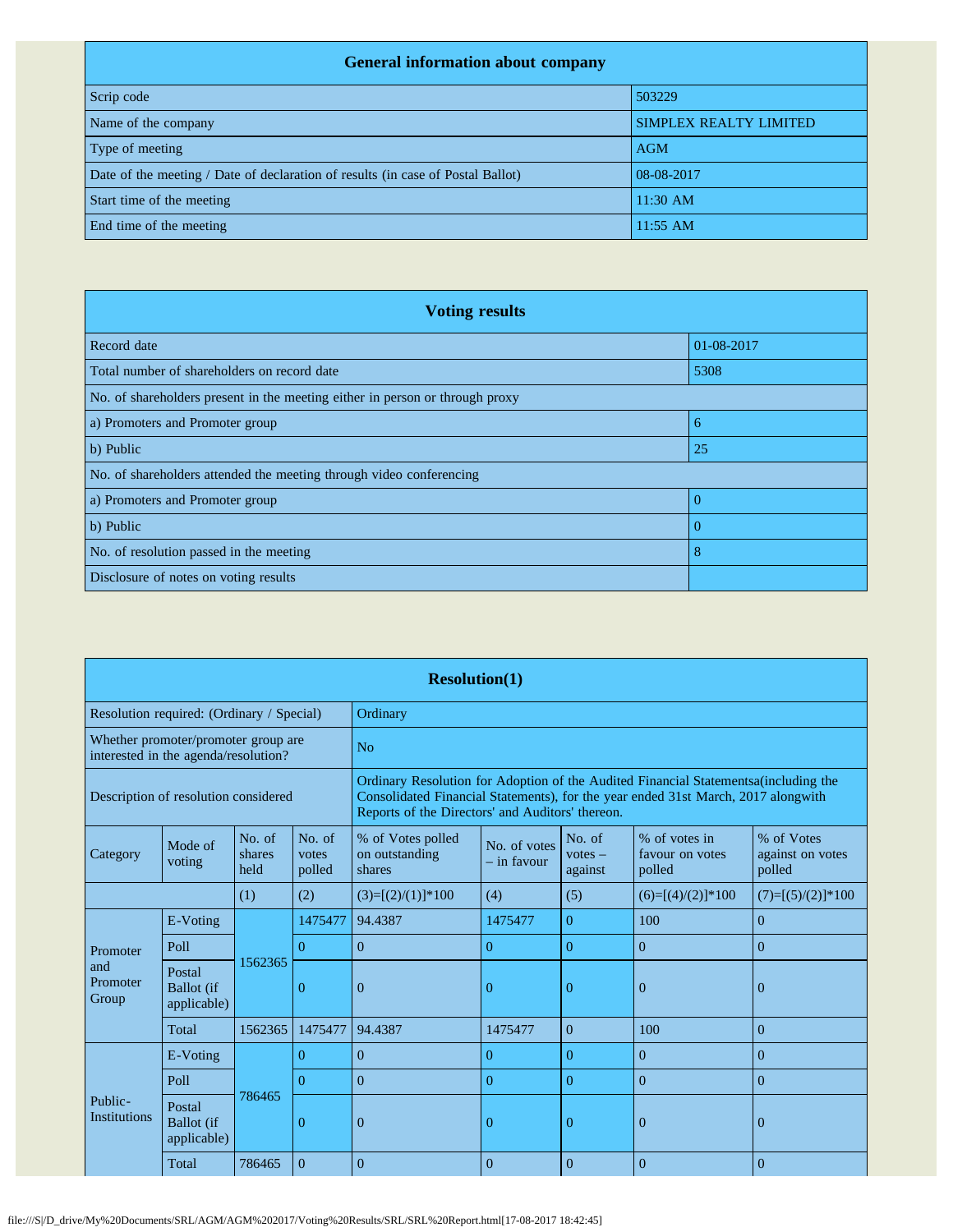## **General information about company**

| ocher with the control would confidently                                        |                               |
|---------------------------------------------------------------------------------|-------------------------------|
| Scrip code                                                                      | 503229                        |
| Name of the company                                                             | <b>SIMPLEX REALTY LIMITED</b> |
| Type of meeting                                                                 | <b>AGM</b>                    |
| Date of the meeting / Date of declaration of results (in case of Postal Ballot) | 08-08-2017                    |
| Start time of the meeting                                                       | $11:30$ AM                    |
| End time of the meeting                                                         | $11:55$ AM                    |

| <b>Voting results</b>                                                        |            |
|------------------------------------------------------------------------------|------------|
| Record date                                                                  | 01-08-2017 |
| Total number of shareholders on record date                                  | 5308       |
| No. of shareholders present in the meeting either in person or through proxy |            |
| a) Promoters and Promoter group                                              | 6          |
| b) Public                                                                    | 25         |
| No. of shareholders attended the meeting through video conferencing          |            |
| a) Promoters and Promoter group                                              |            |
| b) Public                                                                    | $\Omega$   |
| No. of resolution passed in the meeting                                      | 8          |
| Disclosure of notes on voting results                                        |            |

|                                      | <b>Resolution(1)</b>                       |                          |                           |                                                                                                                                                                                                            |                                                                                                                                                                                                                               |                |                     |                     |  |  |  |  |
|--------------------------------------|--------------------------------------------|--------------------------|---------------------------|------------------------------------------------------------------------------------------------------------------------------------------------------------------------------------------------------------|-------------------------------------------------------------------------------------------------------------------------------------------------------------------------------------------------------------------------------|----------------|---------------------|---------------------|--|--|--|--|
|                                      | Resolution required: (Ordinary / Special)  |                          |                           | Ordinary                                                                                                                                                                                                   |                                                                                                                                                                                                                               |                |                     |                     |  |  |  |  |
| interested in the agenda/resolution? | Whether promoter/promoter group are        |                          |                           | N <sub>o</sub>                                                                                                                                                                                             |                                                                                                                                                                                                                               |                |                     |                     |  |  |  |  |
|                                      | Description of resolution considered       |                          |                           |                                                                                                                                                                                                            | Ordinary Resolution for Adoption of the Audited Financial Statementsa (including the<br>Consolidated Financial Statements), for the year ended 31st March, 2017 alongwith<br>Reports of the Directors' and Auditors' thereon. |                |                     |                     |  |  |  |  |
| Category                             | Mode of<br>voting                          | No. of<br>shares<br>held | No. of<br>votes<br>polled | % of Votes polled<br>% of votes in<br>% of Votes<br>No. of<br>No. of votes<br>on outstanding<br>$votes -$<br>favour on votes<br>against on votes<br>$-$ in favour<br>against<br>shares<br>polled<br>polled |                                                                                                                                                                                                                               |                |                     |                     |  |  |  |  |
|                                      | (2)<br>(1)                                 |                          |                           | $(3)=[(2)/(1)]*100$                                                                                                                                                                                        | (4)                                                                                                                                                                                                                           | (5)            | $(6)=[(4)/(2)]*100$ | $(7)=[(5)/(2)]*100$ |  |  |  |  |
|                                      | E-Voting                                   | 1562365                  | 1475477                   | 94.4387                                                                                                                                                                                                    | 1475477                                                                                                                                                                                                                       | $\overline{0}$ | 100                 | $\overline{0}$      |  |  |  |  |
| Promoter                             | Poll                                       |                          | $\Omega$                  | $\Omega$                                                                                                                                                                                                   | $\overline{0}$                                                                                                                                                                                                                | $\theta$       | $\overline{0}$      | $\overline{0}$      |  |  |  |  |
| and<br>Promoter<br>Group             | Postal<br><b>Ballot</b> (if<br>applicable) |                          | $\Omega$                  | $\overline{0}$                                                                                                                                                                                             | $\Omega$                                                                                                                                                                                                                      | $\overline{0}$ | $\theta$            | $\overline{0}$      |  |  |  |  |
|                                      | Total                                      | 1562365                  | 1475477                   | 94.4387                                                                                                                                                                                                    | 1475477                                                                                                                                                                                                                       | $\Omega$       | 100                 | $\Omega$            |  |  |  |  |
|                                      | E-Voting                                   |                          | $\Omega$                  | $\Omega$                                                                                                                                                                                                   | $\overline{0}$                                                                                                                                                                                                                | $\Omega$       | $\mathbf{0}$        | $\Omega$            |  |  |  |  |
|                                      | Poll                                       |                          | $\Omega$                  | $\Omega$                                                                                                                                                                                                   | $\overline{0}$                                                                                                                                                                                                                | $\Omega$       | $\mathbf{0}$        | $\Omega$            |  |  |  |  |
| Public-<br><b>Institutions</b>       | Postal<br><b>Ballot</b> (if<br>applicable) | 786465                   | $\Omega$                  | $\Omega$                                                                                                                                                                                                   | $\Omega$                                                                                                                                                                                                                      | $\Omega$       | $\theta$            | $\Omega$            |  |  |  |  |
|                                      | Total                                      | 786465                   | $\Omega$                  | $\theta$                                                                                                                                                                                                   | $\Omega$                                                                                                                                                                                                                      | $\Omega$       | $\Omega$            | $\Omega$            |  |  |  |  |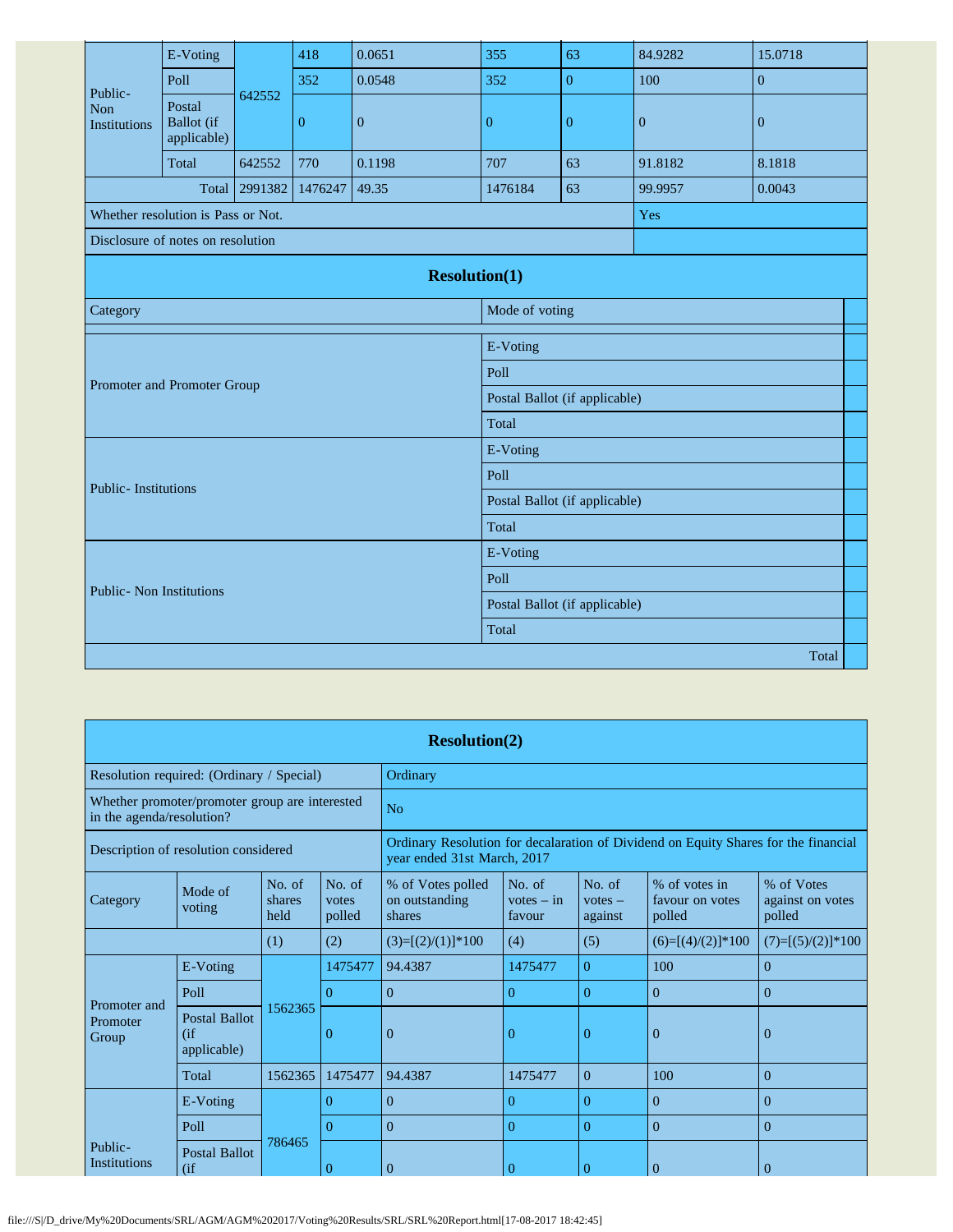|                                       | E-Voting                                   |         | 418          | 0.0651               | 355                           | 63               | 84.9282      | 15.0718        |  |  |
|---------------------------------------|--------------------------------------------|---------|--------------|----------------------|-------------------------------|------------------|--------------|----------------|--|--|
| Public-<br>Non<br><b>Institutions</b> | Poll                                       |         | 352          | 0.0548               | 352                           | $\boldsymbol{0}$ | 100          | $\overline{0}$ |  |  |
|                                       | Postal<br><b>Ballot</b> (if<br>applicable) | 642552  | $\mathbf{0}$ | $\mathbf{0}$         | $\mathbf{0}$                  | $\mathbf{0}$     | $\mathbf{0}$ | $\overline{0}$ |  |  |
|                                       | Total                                      | 642552  | 770          | 0.1198               | 707                           | 63               | 91.8182      | 8.1818         |  |  |
|                                       | Total                                      | 2991382 | 1476247      | 49.35                | 1476184                       | 63               | 99.9957      | 0.0043         |  |  |
| Whether resolution is Pass or Not.    |                                            |         |              |                      |                               |                  | Yes          |                |  |  |
| Disclosure of notes on resolution     |                                            |         |              |                      |                               |                  |              |                |  |  |
|                                       |                                            |         |              | <b>Resolution(1)</b> |                               |                  |              |                |  |  |
| Category                              |                                            |         |              |                      | Mode of voting                |                  |              |                |  |  |
|                                       |                                            |         |              |                      | E-Voting                      |                  |              |                |  |  |
|                                       |                                            |         |              |                      | Poll                          |                  |              |                |  |  |
| Promoter and Promoter Group           |                                            |         |              |                      | Postal Ballot (if applicable) |                  |              |                |  |  |
|                                       |                                            |         |              |                      | Total                         |                  |              |                |  |  |
|                                       |                                            |         |              |                      | E-Voting                      |                  |              |                |  |  |
|                                       |                                            |         |              |                      | Poll                          |                  |              |                |  |  |
| <b>Public-Institutions</b>            |                                            |         |              |                      | Postal Ballot (if applicable) |                  |              |                |  |  |
|                                       |                                            |         |              |                      | Total                         |                  |              |                |  |  |
|                                       |                                            |         |              |                      | E-Voting                      |                  |              |                |  |  |
| <b>Public-</b> Non Institutions       |                                            |         |              |                      | Poll                          |                  |              |                |  |  |
|                                       |                                            |         |              |                      | Postal Ballot (if applicable) |                  |              |                |  |  |
|                                       |                                            |         |              |                      | Total                         |                  |              |                |  |  |
|                                       |                                            |         |              |                      |                               |                  |              | Total          |  |  |

|                                           |                                                |                          |                           | <b>Resolution(2)</b>                          |                                                                                                                    |                                |                                            |                                          |  |
|-------------------------------------------|------------------------------------------------|--------------------------|---------------------------|-----------------------------------------------|--------------------------------------------------------------------------------------------------------------------|--------------------------------|--------------------------------------------|------------------------------------------|--|
| Resolution required: (Ordinary / Special) |                                                |                          |                           | Ordinary                                      |                                                                                                                    |                                |                                            |                                          |  |
| in the agenda/resolution?                 | Whether promoter/promoter group are interested |                          |                           | No                                            |                                                                                                                    |                                |                                            |                                          |  |
| Description of resolution considered      |                                                |                          |                           |                                               | Ordinary Resolution for decalaration of Dividend on Equity Shares for the financial<br>year ended 31st March, 2017 |                                |                                            |                                          |  |
| Category                                  | Mode of<br>voting                              | No. of<br>shares<br>held | No. of<br>votes<br>polled | % of Votes polled<br>on outstanding<br>shares | No. of<br>$votes - in$<br>favour                                                                                   | No. of<br>$votes -$<br>against | % of votes in<br>favour on votes<br>polled | % of Votes<br>against on votes<br>polled |  |
|                                           | (2)<br>(1)                                     |                          |                           | $(3)=[(2)/(1)]*100$                           | (4)                                                                                                                | (5)                            | $(6)=[(4)/(2)]*100$                        | $(7)=[(5)/(2)]*100$                      |  |
|                                           | E-Voting                                       |                          | 1475477                   | 94.4387                                       | 1475477                                                                                                            | $\overline{0}$                 | 100                                        | $\Omega$                                 |  |
| Promoter and                              | Poll                                           |                          | $\Omega$                  | $\theta$                                      | $\Omega$                                                                                                           | $\overline{0}$                 | $\theta$                                   | $\Omega$                                 |  |
| Promoter<br>Group                         | <b>Postal Ballot</b><br>(if)<br>applicable)    | 1562365                  | $\overline{0}$            | $\overline{0}$                                | 0                                                                                                                  | 0                              | $\overline{0}$                             | $\mathbf{0}$                             |  |
|                                           | Total                                          | 1562365                  | 1475477                   | 94.4387                                       | 1475477                                                                                                            | $\overline{0}$                 | 100                                        | $\Omega$                                 |  |
|                                           | E-Voting                                       |                          | $\Omega$                  | $\theta$                                      | $\Omega$                                                                                                           | 0                              | $\theta$                                   | $\theta$                                 |  |
|                                           | Poll                                           |                          | $\Omega$                  | $\theta$                                      | $\overline{0}$                                                                                                     | $\overline{0}$                 | $\theta$                                   | $\Omega$                                 |  |
| Public-<br><b>Institutions</b>            | <b>Postal Ballot</b><br>(ii)                   | 786465                   | $\overline{0}$            | $\overline{0}$                                | $\theta$                                                                                                           | $\theta$                       | $\mathbf{0}$                               | $\overline{0}$                           |  |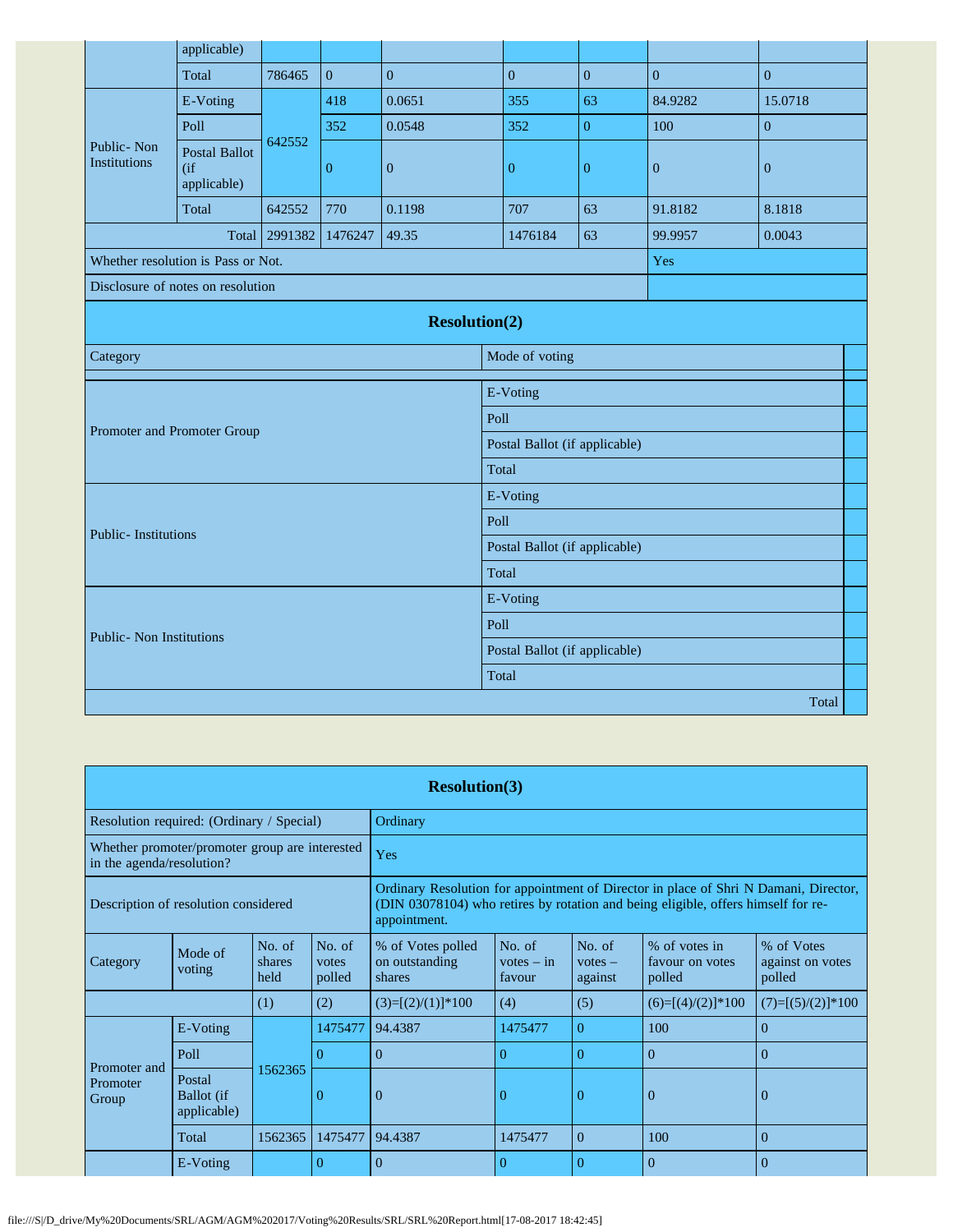|                                    | applicable)                                   |                             |                  |                               |                               |                  |                  |                  |  |  |
|------------------------------------|-----------------------------------------------|-----------------------------|------------------|-------------------------------|-------------------------------|------------------|------------------|------------------|--|--|
|                                    | Total                                         | 786465                      | $\overline{0}$   | $\mathbf{0}$                  | $\overline{0}$                | $\boldsymbol{0}$ | $\mathbf{0}$     | $\mathbf{0}$     |  |  |
|                                    | E-Voting                                      |                             | 418              | 0.0651                        | 355                           | 63               | 84.9282          | 15.0718          |  |  |
|                                    | Poll                                          |                             | 352              | 0.0548                        | 352                           | $\overline{0}$   | 100              | $\overline{0}$   |  |  |
| Public-Non<br><b>Institutions</b>  | <b>Postal Ballot</b><br>$($ if<br>applicable) | 642552                      | $\boldsymbol{0}$ | $\boldsymbol{0}$              | $\boldsymbol{0}$              | $\boldsymbol{0}$ | $\boldsymbol{0}$ | $\boldsymbol{0}$ |  |  |
|                                    | Total                                         | 642552                      | 770              | 0.1198                        | 707                           | 63               | 91.8182          | 8.1818           |  |  |
|                                    | Total                                         | 2991382<br>1476247<br>49.35 |                  |                               | 1476184                       | 63               | 99.9957          | 0.0043           |  |  |
| Whether resolution is Pass or Not. |                                               |                             |                  |                               |                               |                  | Yes              |                  |  |  |
| Disclosure of notes on resolution  |                                               |                             |                  |                               |                               |                  |                  |                  |  |  |
|                                    |                                               |                             |                  | <b>Resolution(2)</b>          |                               |                  |                  |                  |  |  |
| Category                           |                                               |                             |                  |                               | Mode of voting                |                  |                  |                  |  |  |
|                                    |                                               |                             |                  |                               | E-Voting                      |                  |                  |                  |  |  |
| Promoter and Promoter Group        |                                               |                             |                  |                               | Poll                          |                  |                  |                  |  |  |
|                                    |                                               |                             |                  |                               | Postal Ballot (if applicable) |                  |                  |                  |  |  |
|                                    |                                               |                             |                  |                               | Total                         |                  |                  |                  |  |  |
|                                    |                                               |                             |                  |                               | E-Voting                      |                  |                  |                  |  |  |
| <b>Public-Institutions</b>         |                                               |                             |                  |                               | Poll                          |                  |                  |                  |  |  |
|                                    |                                               |                             |                  |                               | Postal Ballot (if applicable) |                  |                  |                  |  |  |
|                                    |                                               |                             |                  |                               | Total                         |                  |                  |                  |  |  |
|                                    |                                               |                             |                  |                               | E-Voting                      |                  |                  |                  |  |  |
| <b>Public- Non Institutions</b>    |                                               |                             |                  |                               | Poll                          |                  |                  |                  |  |  |
|                                    |                                               |                             |                  | Postal Ballot (if applicable) |                               |                  |                  |                  |  |  |
|                                    |                                               |                             |                  |                               | Total                         |                  |                  |                  |  |  |
|                                    |                                               |                             |                  |                               |                               |                  |                  | Total            |  |  |

|                                           | <b>Resolution(3)</b>                                                        |                          |                           |                                                                                                                                                                                                               |                                                                                                                                                                           |          |                     |                     |  |  |  |  |
|-------------------------------------------|-----------------------------------------------------------------------------|--------------------------|---------------------------|---------------------------------------------------------------------------------------------------------------------------------------------------------------------------------------------------------------|---------------------------------------------------------------------------------------------------------------------------------------------------------------------------|----------|---------------------|---------------------|--|--|--|--|
| Resolution required: (Ordinary / Special) |                                                                             |                          |                           | Ordinary                                                                                                                                                                                                      |                                                                                                                                                                           |          |                     |                     |  |  |  |  |
|                                           | Whether promoter/promoter group are interested<br>in the agenda/resolution? |                          |                           |                                                                                                                                                                                                               | Yes                                                                                                                                                                       |          |                     |                     |  |  |  |  |
| Description of resolution considered      |                                                                             |                          |                           | appointment.                                                                                                                                                                                                  | Ordinary Resolution for appointment of Director in place of Shri N Damani, Director,<br>(DIN 03078104) who retires by rotation and being eligible, offers himself for re- |          |                     |                     |  |  |  |  |
| Category                                  | Mode of<br>voting                                                           | No. of<br>shares<br>held | No. of<br>votes<br>polled | No. of<br>No. of<br>% of Votes<br>% of Votes polled<br>% of votes in<br>on outstanding<br>$votes - in$<br>against on votes<br>favour on votes<br>$votes -$<br>polled<br>shares<br>favour<br>polled<br>against |                                                                                                                                                                           |          |                     |                     |  |  |  |  |
|                                           |                                                                             | (1)                      | (2)                       | $(3)=[(2)/(1)]*100$                                                                                                                                                                                           | (4)                                                                                                                                                                       | (5)      | $(6)=[(4)/(2)]*100$ | $(7)=[(5)/(2)]*100$ |  |  |  |  |
|                                           | E-Voting                                                                    |                          | 1475477                   | 94.4387                                                                                                                                                                                                       | 1475477                                                                                                                                                                   | $\Omega$ | 100                 | $\Omega$            |  |  |  |  |
| Promoter and                              | Poll                                                                        |                          | 0                         | $\Omega$                                                                                                                                                                                                      | 0                                                                                                                                                                         | $\Omega$ | $\theta$            | $\Omega$            |  |  |  |  |
| Promoter<br>Group                         | Postal<br>Ballot (if<br>applicable)                                         | 1562365                  | $\theta$                  | $\overline{0}$                                                                                                                                                                                                | $\theta$                                                                                                                                                                  | $\theta$ | $\overline{0}$      | $\Omega$            |  |  |  |  |
|                                           | Total                                                                       | 1562365                  | 1475477                   | 94.4387                                                                                                                                                                                                       | 1475477                                                                                                                                                                   | $\Omega$ | 100                 | $\overline{0}$      |  |  |  |  |
|                                           | E-Voting                                                                    |                          | 0                         | $\mathbf{0}$                                                                                                                                                                                                  | 0                                                                                                                                                                         | $\Omega$ | $\overline{0}$      | $\Omega$            |  |  |  |  |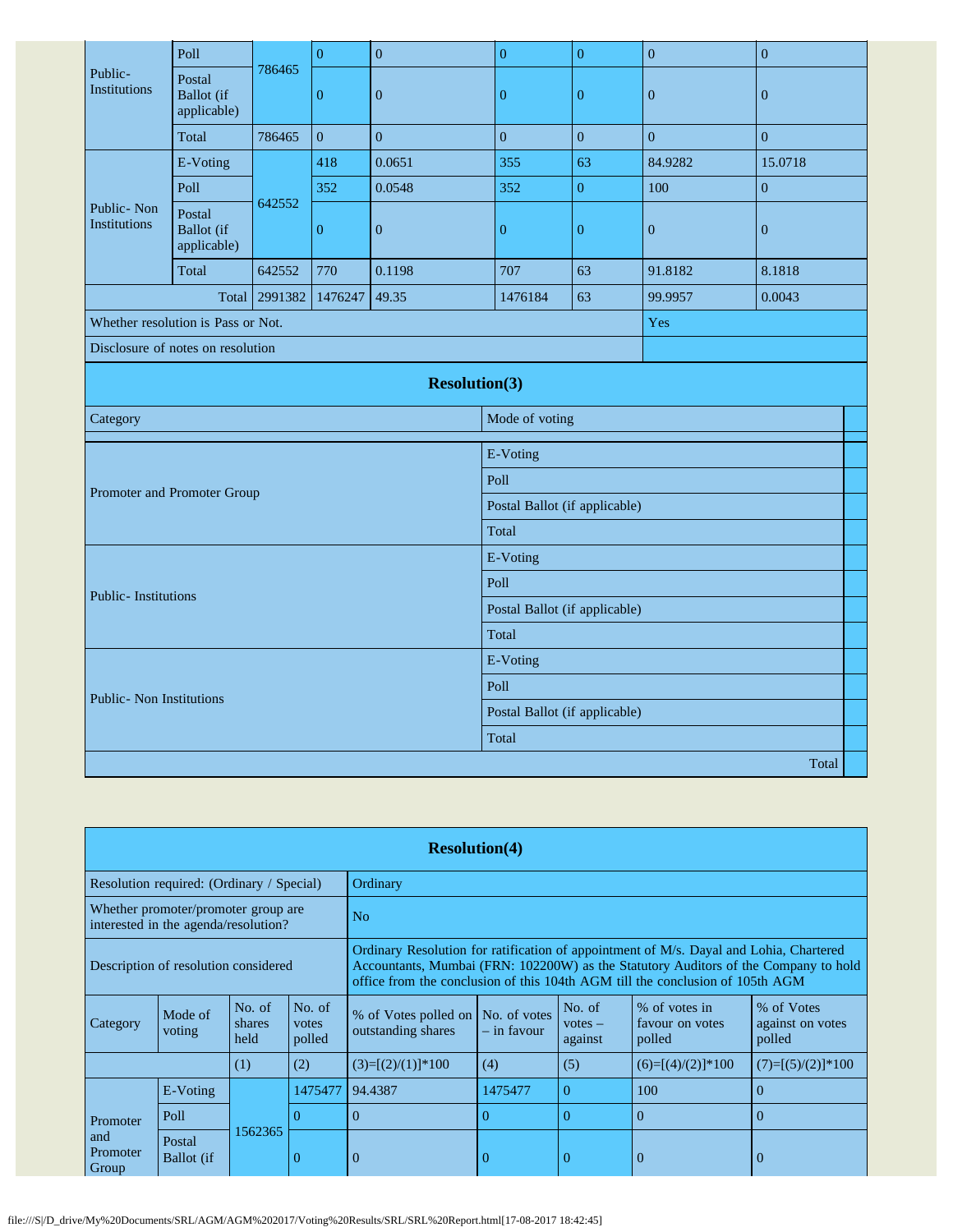|                                   | Poll                                       |         | $\overline{0}$   | $\overline{0}$       | $\overline{0}$                | $\overline{0}$                | $\overline{0}$   | $\overline{0}$   |  |
|-----------------------------------|--------------------------------------------|---------|------------------|----------------------|-------------------------------|-------------------------------|------------------|------------------|--|
| Public-<br>Institutions           | Postal<br><b>Ballot</b> (if<br>applicable) | 786465  | $\boldsymbol{0}$ | $\boldsymbol{0}$     | $\boldsymbol{0}$              | $\overline{0}$                | $\mathbf{0}$     | $\boldsymbol{0}$ |  |
|                                   | Total                                      | 786465  | $\boldsymbol{0}$ | $\mathbf{0}$         | $\boldsymbol{0}$              | $\overline{0}$                | $\boldsymbol{0}$ | $\boldsymbol{0}$ |  |
|                                   | E-Voting                                   |         | 418              | 0.0651               | 355                           | 63                            | 84.9282          | 15.0718          |  |
|                                   | Poll                                       |         | 352              | 0.0548               | 352                           | $\boldsymbol{0}$              | 100              | $\boldsymbol{0}$ |  |
| Public-Non<br><b>Institutions</b> | Postal<br><b>Ballot</b> (if<br>applicable) | 642552  | $\boldsymbol{0}$ | $\mathbf{0}$         | $\boldsymbol{0}$              | $\boldsymbol{0}$              | $\mathbf{0}$     | $\overline{0}$   |  |
|                                   | Total                                      | 642552  | 770              | 0.1198               | 707                           | 63                            | 91.8182          | 8.1818           |  |
|                                   | Total                                      | 2991382 | 1476247          | 49.35                | 1476184                       | 63                            | 99.9957          | 0.0043           |  |
|                                   | Whether resolution is Pass or Not.         |         |                  |                      |                               |                               | Yes              |                  |  |
| Disclosure of notes on resolution |                                            |         |                  |                      |                               |                               |                  |                  |  |
|                                   |                                            |         |                  | <b>Resolution(3)</b> |                               |                               |                  |                  |  |
| Category                          |                                            |         |                  |                      | Mode of voting                |                               |                  |                  |  |
|                                   |                                            |         |                  |                      | E-Voting                      |                               |                  |                  |  |
|                                   |                                            |         |                  |                      | Poll                          |                               |                  |                  |  |
|                                   | Promoter and Promoter Group                |         |                  |                      | Postal Ballot (if applicable) |                               |                  |                  |  |
|                                   |                                            |         |                  |                      | Total                         |                               |                  |                  |  |
|                                   |                                            |         |                  |                      | E-Voting                      |                               |                  |                  |  |
| <b>Public-Institutions</b>        |                                            |         |                  |                      | Poll                          |                               |                  |                  |  |
|                                   |                                            |         |                  |                      |                               | Postal Ballot (if applicable) |                  |                  |  |
|                                   |                                            |         |                  |                      | Total                         |                               |                  |                  |  |
|                                   |                                            |         |                  |                      | E-Voting                      |                               |                  |                  |  |
| <b>Public-</b> Non Institutions   |                                            |         |                  |                      | Poll                          |                               |                  |                  |  |
|                                   |                                            |         |                  |                      |                               | Postal Ballot (if applicable) |                  |                  |  |
|                                   |                                            |         |                  |                      | Total                         |                               |                  |                  |  |
|                                   |                                            |         |                  |                      |                               |                               |                  | Total            |  |

|                                      | <b>Resolution(4)</b>                                                        |                          |                           |                                                                                                                                                                                                    |                                                                                                                                                                                                                                                                |                |                     |                     |  |  |  |  |
|--------------------------------------|-----------------------------------------------------------------------------|--------------------------|---------------------------|----------------------------------------------------------------------------------------------------------------------------------------------------------------------------------------------------|----------------------------------------------------------------------------------------------------------------------------------------------------------------------------------------------------------------------------------------------------------------|----------------|---------------------|---------------------|--|--|--|--|
|                                      | Resolution required: (Ordinary / Special)                                   |                          |                           | Ordinary                                                                                                                                                                                           |                                                                                                                                                                                                                                                                |                |                     |                     |  |  |  |  |
|                                      | Whether promoter/promoter group are<br>interested in the agenda/resolution? |                          |                           | N <sub>o</sub>                                                                                                                                                                                     |                                                                                                                                                                                                                                                                |                |                     |                     |  |  |  |  |
| Description of resolution considered |                                                                             |                          |                           |                                                                                                                                                                                                    | Ordinary Resolution for ratification of appointment of M/s. Dayal and Lohia, Chartered<br>Accountants, Mumbai (FRN: 102200W) as the Statutory Auditors of the Company to hold<br>office from the conclusion of this 104th AGM till the conclusion of 105th AGM |                |                     |                     |  |  |  |  |
| Category                             | Mode of<br>voting                                                           | No. of<br>shares<br>held | No. of<br>votes<br>polled | No. of<br>% of votes in<br>% of Votes<br>% of Votes polled on No. of votes<br>against on votes<br>favour on votes<br>$votes -$<br>outstanding shares<br>– in favour<br>polled<br>polled<br>against |                                                                                                                                                                                                                                                                |                |                     |                     |  |  |  |  |
|                                      |                                                                             | (1)                      | (2)                       | $(3)=[(2)/(1)]*100$                                                                                                                                                                                | (4)                                                                                                                                                                                                                                                            | (5)            | $(6)=[(4)/(2)]*100$ | $(7)=[(5)/(2)]*100$ |  |  |  |  |
|                                      | E-Voting                                                                    |                          | 1475477                   | 94.4387                                                                                                                                                                                            | 1475477                                                                                                                                                                                                                                                        | $\overline{0}$ | 100                 | $\Omega$            |  |  |  |  |
| Promoter                             | Poll                                                                        |                          |                           | $\Omega$                                                                                                                                                                                           | $\Omega$                                                                                                                                                                                                                                                       | $\Omega$       | $\overline{0}$      | $\Omega$            |  |  |  |  |
| and<br>Promoter<br>Group             | Postal<br>Ballot (if                                                        | 1562365                  |                           | $\Omega$                                                                                                                                                                                           |                                                                                                                                                                                                                                                                | $\overline{0}$ | $\overline{0}$      | $\theta$            |  |  |  |  |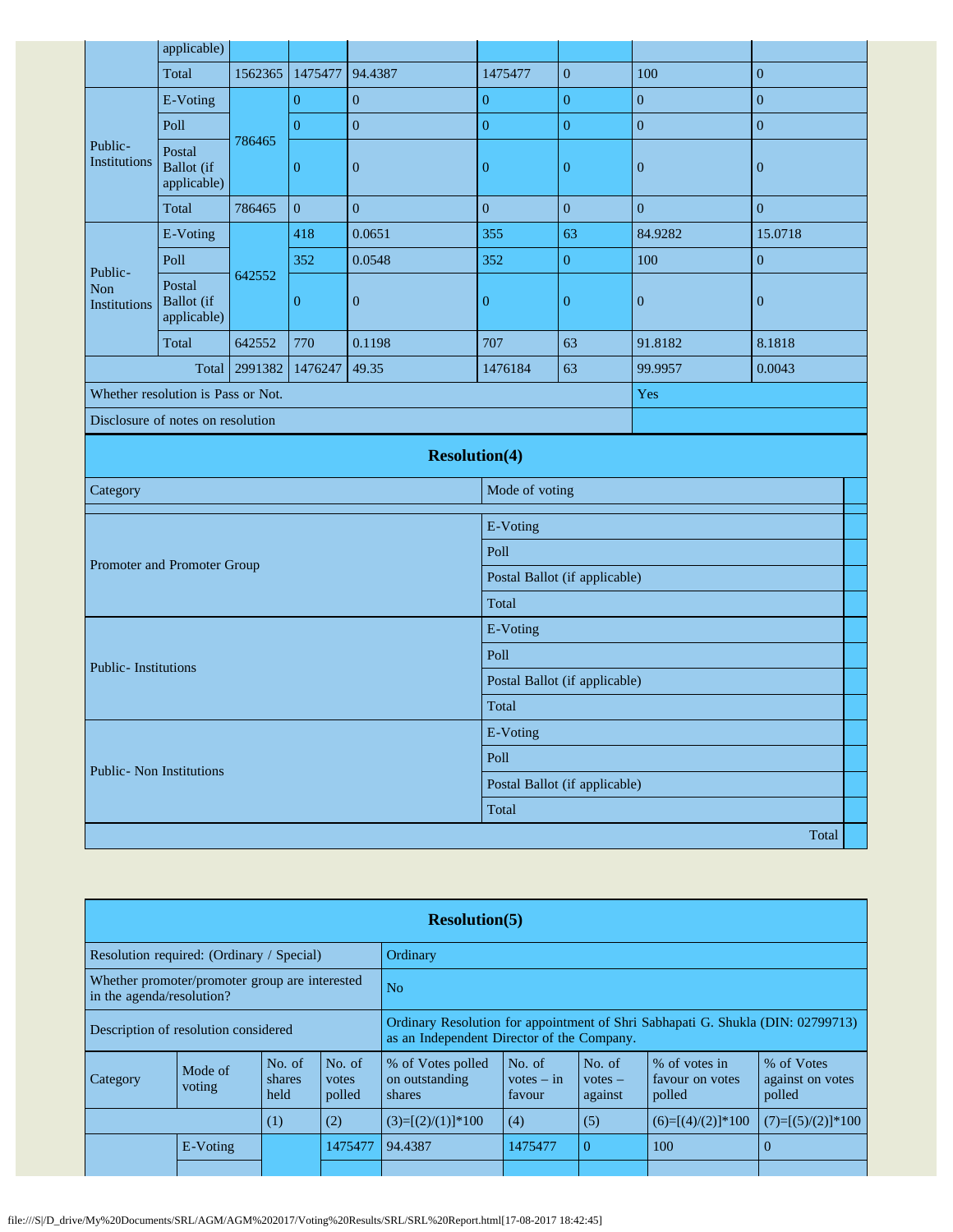|                                | applicable)                                |         |                  |                      |                               |                               |                  |                  |  |
|--------------------------------|--------------------------------------------|---------|------------------|----------------------|-------------------------------|-------------------------------|------------------|------------------|--|
|                                | Total                                      | 1562365 | 1475477          | 94.4387              | 1475477                       | $\overline{0}$                | 100              | $\overline{0}$   |  |
|                                | E-Voting                                   |         | $\overline{0}$   | $\overline{0}$       | $\boldsymbol{0}$              | $\boldsymbol{0}$              | $\overline{0}$   | $\overline{0}$   |  |
|                                | Poll                                       |         | $\overline{0}$   | $\overline{0}$       | $\overline{0}$                | $\overline{0}$                | $\overline{0}$   | $\boldsymbol{0}$ |  |
| Public-<br><b>Institutions</b> | Postal<br><b>Ballot</b> (if<br>applicable) | 786465  | $\boldsymbol{0}$ | $\boldsymbol{0}$     | $\boldsymbol{0}$              | $\boldsymbol{0}$              | $\boldsymbol{0}$ | $\boldsymbol{0}$ |  |
|                                | Total                                      | 786465  | $\overline{0}$   | $\overline{0}$       | $\boldsymbol{0}$              | $\overline{0}$                | $\mathbf{0}$     | $\mathbf{0}$     |  |
| E-Voting                       |                                            |         | 418              | 0.0651               | 355                           | 63                            | 84.9282          | 15.0718          |  |
| Public-                        | Poll                                       |         | 352              | 0.0548               | 352                           | $\boldsymbol{0}$              | 100              | $\boldsymbol{0}$ |  |
| Non<br>Institutions            | Postal<br><b>Ballot</b> (if<br>applicable) | 642552  | $\boldsymbol{0}$ | $\boldsymbol{0}$     | $\boldsymbol{0}$              | $\boldsymbol{0}$              | $\boldsymbol{0}$ | $\boldsymbol{0}$ |  |
|                                | Total                                      | 642552  | 770              | 0.1198               | 707                           | 63                            | 91.8182          | 8.1818           |  |
|                                | Total                                      | 2991382 | 1476247          | 49.35                | 1476184                       | 63                            | 99.9957          | 0.0043           |  |
|                                | Whether resolution is Pass or Not.         |         |                  |                      |                               |                               | Yes              |                  |  |
|                                | Disclosure of notes on resolution          |         |                  |                      |                               |                               |                  |                  |  |
|                                |                                            |         |                  | <b>Resolution(4)</b> |                               |                               |                  |                  |  |
| Category                       |                                            |         |                  |                      | Mode of voting                |                               |                  |                  |  |
|                                |                                            |         |                  |                      | E-Voting                      |                               |                  |                  |  |
|                                |                                            |         |                  |                      | Poll                          |                               |                  |                  |  |
|                                | Promoter and Promoter Group                |         |                  |                      | Postal Ballot (if applicable) |                               |                  |                  |  |
|                                |                                            |         |                  |                      | Total                         |                               |                  |                  |  |
|                                |                                            |         |                  |                      | E-Voting                      |                               |                  |                  |  |
|                                |                                            |         |                  |                      | Poll                          |                               |                  |                  |  |
| <b>Public-Institutions</b>     |                                            |         |                  |                      |                               | Postal Ballot (if applicable) |                  |                  |  |
|                                |                                            |         |                  |                      | Total                         |                               |                  |                  |  |
|                                |                                            |         |                  |                      | E-Voting                      |                               |                  |                  |  |
|                                | <b>Public- Non Institutions</b>            |         |                  |                      | Poll                          |                               |                  |                  |  |
|                                |                                            |         |                  |                      |                               | Postal Ballot (if applicable) |                  |                  |  |
|                                |                                            |         |                  |                      | Total                         |                               |                  |                  |  |
|                                |                                            |         |                  |                      |                               |                               |                  | Total            |  |

|                                                                             | <b>Resolution(5)</b>                                                       |  |                                                                                                                               |                     |                                  |                                |                                            |                                          |  |  |  |  |
|-----------------------------------------------------------------------------|----------------------------------------------------------------------------|--|-------------------------------------------------------------------------------------------------------------------------------|---------------------|----------------------------------|--------------------------------|--------------------------------------------|------------------------------------------|--|--|--|--|
| Resolution required: (Ordinary / Special)                                   |                                                                            |  |                                                                                                                               | Ordinary            |                                  |                                |                                            |                                          |  |  |  |  |
| Whether promoter/promoter group are interested<br>in the agenda/resolution? |                                                                            |  |                                                                                                                               | N <sub>o</sub>      |                                  |                                |                                            |                                          |  |  |  |  |
| Description of resolution considered                                        |                                                                            |  | Ordinary Resolution for appointment of Shri Sabhapati G. Shukla (DIN: 02799713)<br>as an Independent Director of the Company. |                     |                                  |                                |                                            |                                          |  |  |  |  |
| <b>Category</b>                                                             | No. of<br>No. of<br>Mode of<br>shares<br>votes<br>voting<br>held<br>polled |  |                                                                                                                               |                     | No. of<br>$votes - in$<br>favour | No. of<br>$votes -$<br>against | % of votes in<br>favour on votes<br>polled | % of Votes<br>against on votes<br>polled |  |  |  |  |
|                                                                             | (1)<br>(2)                                                                 |  |                                                                                                                               | $(3)=[(2)/(1)]*100$ | (4)                              | (5)                            | $(6)=[(4)/(2)]*100$                        | $(7)=[(5)/(2)]*100$                      |  |  |  |  |
|                                                                             | E-Voting                                                                   |  | 1475477                                                                                                                       | 94.4387             | 1475477                          | $\Omega$                       | 100                                        | $\Omega$                                 |  |  |  |  |
|                                                                             |                                                                            |  |                                                                                                                               |                     |                                  |                                |                                            |                                          |  |  |  |  |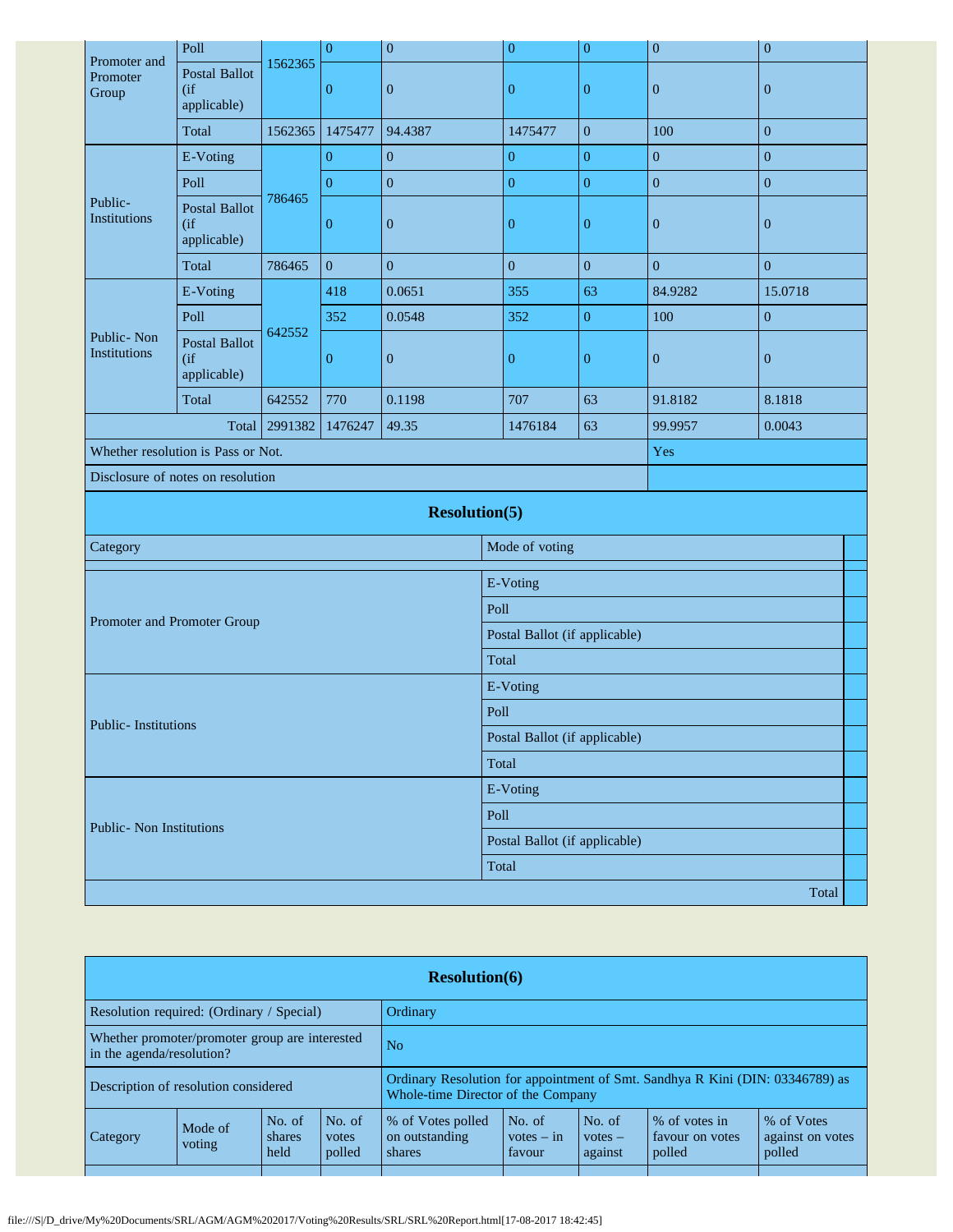|                                   | Poll                                          |         | $\boldsymbol{0}$ | $\boldsymbol{0}$     | $\boldsymbol{0}$              | $\boldsymbol{0}$ | $\boldsymbol{0}$ | $\boldsymbol{0}$ |  |
|-----------------------------------|-----------------------------------------------|---------|------------------|----------------------|-------------------------------|------------------|------------------|------------------|--|
| Promoter and<br>Promoter<br>Group | <b>Postal Ballot</b><br>(if)<br>applicable)   | 1562365 | $\mathbf{0}$     | $\boldsymbol{0}$     | $\mathbf{0}$                  | $\boldsymbol{0}$ | $\boldsymbol{0}$ | $\boldsymbol{0}$ |  |
|                                   | Total                                         | 1562365 | 1475477          | 94.4387              | 1475477                       | $\boldsymbol{0}$ | 100              | $\boldsymbol{0}$ |  |
|                                   | E-Voting                                      |         | $\overline{0}$   | $\boldsymbol{0}$     | $\boldsymbol{0}$              | $\boldsymbol{0}$ | $\boldsymbol{0}$ | $\boldsymbol{0}$ |  |
|                                   | Poll                                          |         | $\boldsymbol{0}$ | $\overline{0}$       | $\overline{0}$                | $\boldsymbol{0}$ | $\overline{0}$   | $\mathbf{0}$     |  |
| Public-<br><b>Institutions</b>    | Postal Ballot<br>$($ if<br>applicable)        | 786465  | $\overline{0}$   | $\boldsymbol{0}$     | $\mathbf{0}$                  | $\overline{0}$   | $\boldsymbol{0}$ | $\boldsymbol{0}$ |  |
|                                   | Total                                         | 786465  | $\overline{0}$   | $\boldsymbol{0}$     | $\boldsymbol{0}$              | $\boldsymbol{0}$ | $\boldsymbol{0}$ | $\boldsymbol{0}$ |  |
|                                   | E-Voting                                      |         | 418              | 0.0651               | 355                           | 63               | 84.9282          | 15.0718          |  |
|                                   | Poll                                          |         | 352              | 0.0548               | 352                           | $\boldsymbol{0}$ | 100              | $\boldsymbol{0}$ |  |
| Public-Non<br>Institutions        | <b>Postal Ballot</b><br>$($ if<br>applicable) | 642552  | $\boldsymbol{0}$ | $\boldsymbol{0}$     | $\boldsymbol{0}$              | $\boldsymbol{0}$ | $\boldsymbol{0}$ | $\boldsymbol{0}$ |  |
|                                   | Total                                         | 642552  | 770              | 0.1198               | 707                           | 63               | 91.8182          | 8.1818           |  |
|                                   | 2991382<br>1476247<br>49.35<br>Total          |         |                  |                      | 1476184                       | 63               | 99.9957          | 0.0043           |  |
|                                   | Whether resolution is Pass or Not.            |         |                  |                      |                               |                  | Yes              |                  |  |
|                                   | Disclosure of notes on resolution             |         |                  |                      |                               |                  |                  |                  |  |
|                                   |                                               |         |                  | <b>Resolution(5)</b> |                               |                  |                  |                  |  |
| Category                          |                                               |         |                  |                      | Mode of voting                |                  |                  |                  |  |
|                                   |                                               |         |                  |                      | E-Voting                      |                  |                  |                  |  |
|                                   |                                               |         |                  |                      | Poll                          |                  |                  |                  |  |
| Promoter and Promoter Group       |                                               |         |                  |                      | Postal Ballot (if applicable) |                  |                  |                  |  |
|                                   |                                               |         |                  |                      | Total                         |                  |                  |                  |  |
|                                   |                                               |         |                  |                      | E-Voting                      |                  |                  |                  |  |
|                                   |                                               |         |                  |                      | Poll                          |                  |                  |                  |  |
| <b>Public-Institutions</b>        |                                               |         |                  |                      | Postal Ballot (if applicable) |                  |                  |                  |  |
|                                   |                                               |         |                  |                      | Total                         |                  |                  |                  |  |
|                                   |                                               |         |                  |                      | E-Voting                      |                  |                  |                  |  |
| Public- Non Institutions          |                                               |         |                  |                      | Poll                          |                  |                  |                  |  |
|                                   |                                               |         |                  |                      | Postal Ballot (if applicable) |                  |                  |                  |  |
|                                   |                                               |         |                  |                      | Total                         |                  |                  |                  |  |
|                                   |                                               |         |                  |                      |                               |                  |                  | Total            |  |

| <b>Resolution(6)</b>                                                        |                   |                          |                                                                                                                     |                                               |                                  |                                |                                            |                                          |  |  |
|-----------------------------------------------------------------------------|-------------------|--------------------------|---------------------------------------------------------------------------------------------------------------------|-----------------------------------------------|----------------------------------|--------------------------------|--------------------------------------------|------------------------------------------|--|--|
| Resolution required: (Ordinary / Special)                                   |                   |                          |                                                                                                                     | Ordinary                                      |                                  |                                |                                            |                                          |  |  |
| Whether promoter/promoter group are interested<br>in the agenda/resolution? |                   |                          | N <sub>o</sub>                                                                                                      |                                               |                                  |                                |                                            |                                          |  |  |
| Description of resolution considered                                        |                   |                          | Ordinary Resolution for appointment of Smt. Sandhya R Kini (DIN: 03346789) as<br>Whole-time Director of the Company |                                               |                                  |                                |                                            |                                          |  |  |
| <b>Category</b>                                                             | Mode of<br>voting | No. of<br>shares<br>held | No. of<br>votes<br>polled                                                                                           | % of Votes polled<br>on outstanding<br>shares | No. of<br>$votes - in$<br>favour | No. of<br>$votes -$<br>against | % of votes in<br>favour on votes<br>polled | % of Votes<br>against on votes<br>polled |  |  |
|                                                                             |                   |                          |                                                                                                                     |                                               |                                  |                                |                                            |                                          |  |  |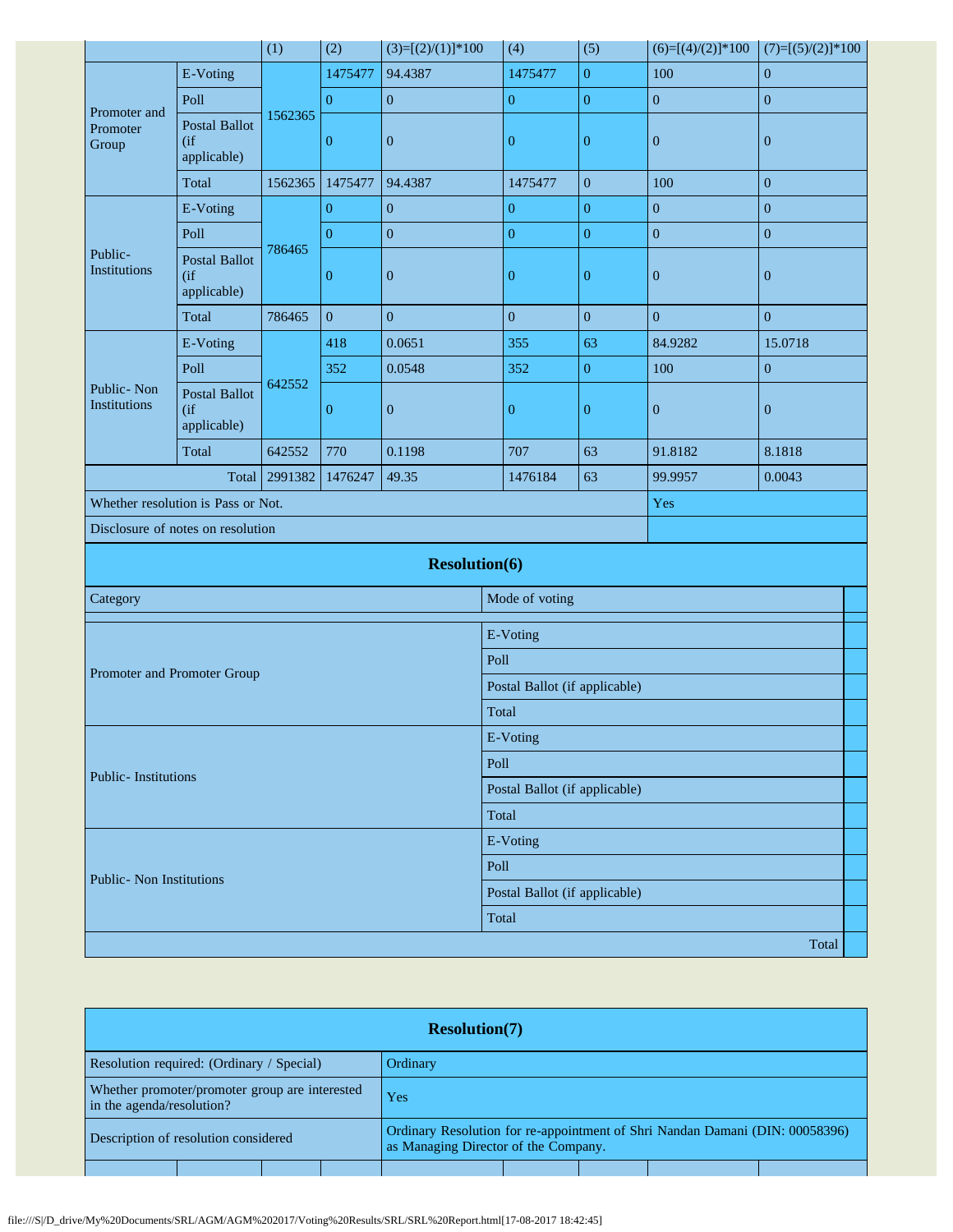|                                      |                                               | (1)     | (2)              | $(3)=[(2)/(1)]*100$  | (4)                           | (5)                           | $(6)=[(4)/(2)]*100$ | $(7)=[(5)/(2)]*100$ |  |  |
|--------------------------------------|-----------------------------------------------|---------|------------------|----------------------|-------------------------------|-------------------------------|---------------------|---------------------|--|--|
| Promoter and<br>Promoter<br>Group    | E-Voting                                      |         | 1475477          | 94.4387              | 1475477                       | $\boldsymbol{0}$              | 100                 | $\boldsymbol{0}$    |  |  |
|                                      | Poll                                          |         | $\boldsymbol{0}$ | $\boldsymbol{0}$     | $\boldsymbol{0}$              | $\boldsymbol{0}$              | $\boldsymbol{0}$    | $\boldsymbol{0}$    |  |  |
|                                      | <b>Postal Ballot</b><br>(if)<br>applicable)   | 1562365 | $\boldsymbol{0}$ | $\boldsymbol{0}$     | $\boldsymbol{0}$              | $\boldsymbol{0}$              | $\boldsymbol{0}$    | $\boldsymbol{0}$    |  |  |
|                                      | Total                                         | 1562365 | 1475477          | 94.4387              | 1475477                       | $\boldsymbol{0}$              | 100                 | $\boldsymbol{0}$    |  |  |
|                                      | E-Voting                                      |         | $\overline{0}$   | $\boldsymbol{0}$     | $\boldsymbol{0}$              | $\boldsymbol{0}$              | $\mathbf{0}$        | $\boldsymbol{0}$    |  |  |
| Public-<br>Institutions              | Poll                                          | 786465  | $\boldsymbol{0}$ | $\mathbf{0}$         | $\overline{0}$                | $\boldsymbol{0}$              | $\boldsymbol{0}$    | $\boldsymbol{0}$    |  |  |
|                                      | <b>Postal Ballot</b><br>$($ if<br>applicable) |         | $\overline{0}$   | $\boldsymbol{0}$     | $\mathbf{0}$                  | $\boldsymbol{0}$              | $\mathbf{0}$        | $\boldsymbol{0}$    |  |  |
|                                      | Total                                         | 786465  | $\mathbf{0}$     | $\boldsymbol{0}$     | $\overline{0}$                | $\overline{0}$                | $\boldsymbol{0}$    | $\boldsymbol{0}$    |  |  |
|                                      | E-Voting                                      |         | 418              | 0.0651               | 355                           | 63                            | 84.9282             | 15.0718             |  |  |
|                                      | Poll                                          |         | 352              | 0.0548               | 352                           | $\boldsymbol{0}$              | 100                 | $\boldsymbol{0}$    |  |  |
| Public-Non<br>Institutions           | Postal Ballot<br>(i f)<br>applicable)         | 642552  | $\overline{0}$   | $\boldsymbol{0}$     | $\mathbf{0}$                  | $\boldsymbol{0}$              | $\mathbf{0}$        | $\boldsymbol{0}$    |  |  |
|                                      | Total                                         | 642552  | 770              | 0.1198               | 707                           | 63                            | 91.8182             | 8.1818              |  |  |
| 2991382<br>1476247<br>49.35<br>Total |                                               |         |                  |                      | 1476184                       | 63                            | 99.9957             | 0.0043              |  |  |
| Whether resolution is Pass or Not.   |                                               |         |                  |                      | Yes                           |                               |                     |                     |  |  |
| Disclosure of notes on resolution    |                                               |         |                  |                      |                               |                               |                     |                     |  |  |
|                                      |                                               |         |                  | <b>Resolution(6)</b> |                               |                               |                     |                     |  |  |
| Category                             |                                               |         |                  |                      | Mode of voting                |                               |                     |                     |  |  |
|                                      |                                               |         |                  |                      | E-Voting                      |                               |                     |                     |  |  |
|                                      |                                               |         |                  |                      | Poll                          |                               |                     |                     |  |  |
| Promoter and Promoter Group          |                                               |         |                  |                      | Postal Ballot (if applicable) |                               |                     |                     |  |  |
|                                      |                                               |         |                  |                      | Total                         |                               |                     |                     |  |  |
|                                      |                                               |         |                  |                      | E-Voting                      |                               |                     |                     |  |  |
|                                      |                                               |         |                  |                      | Poll                          |                               |                     |                     |  |  |
| Public-Institutions                  |                                               |         |                  |                      | Postal Ballot (if applicable) |                               |                     |                     |  |  |
|                                      |                                               |         |                  |                      | Total                         |                               |                     |                     |  |  |
|                                      |                                               |         |                  |                      | E-Voting                      |                               |                     |                     |  |  |
|                                      | Public- Non Institutions                      |         |                  |                      |                               | Poll                          |                     |                     |  |  |
|                                      |                                               |         |                  |                      |                               | Postal Ballot (if applicable) |                     |                     |  |  |
|                                      |                                               |         |                  |                      | Total                         |                               |                     |                     |  |  |
|                                      |                                               |         |                  |                      |                               |                               |                     | Total               |  |  |

| <b>Resolution(7)</b>                                                        |                                                                                                                      |  |  |  |  |  |  |  |  |
|-----------------------------------------------------------------------------|----------------------------------------------------------------------------------------------------------------------|--|--|--|--|--|--|--|--|
| Resolution required: (Ordinary / Special)                                   | Ordinary                                                                                                             |  |  |  |  |  |  |  |  |
| Whether promoter/promoter group are interested<br>in the agenda/resolution? | Yes                                                                                                                  |  |  |  |  |  |  |  |  |
| Description of resolution considered                                        | Ordinary Resolution for re-appointment of Shri Nandan Damani (DIN: 00058396)<br>as Managing Director of the Company. |  |  |  |  |  |  |  |  |
|                                                                             |                                                                                                                      |  |  |  |  |  |  |  |  |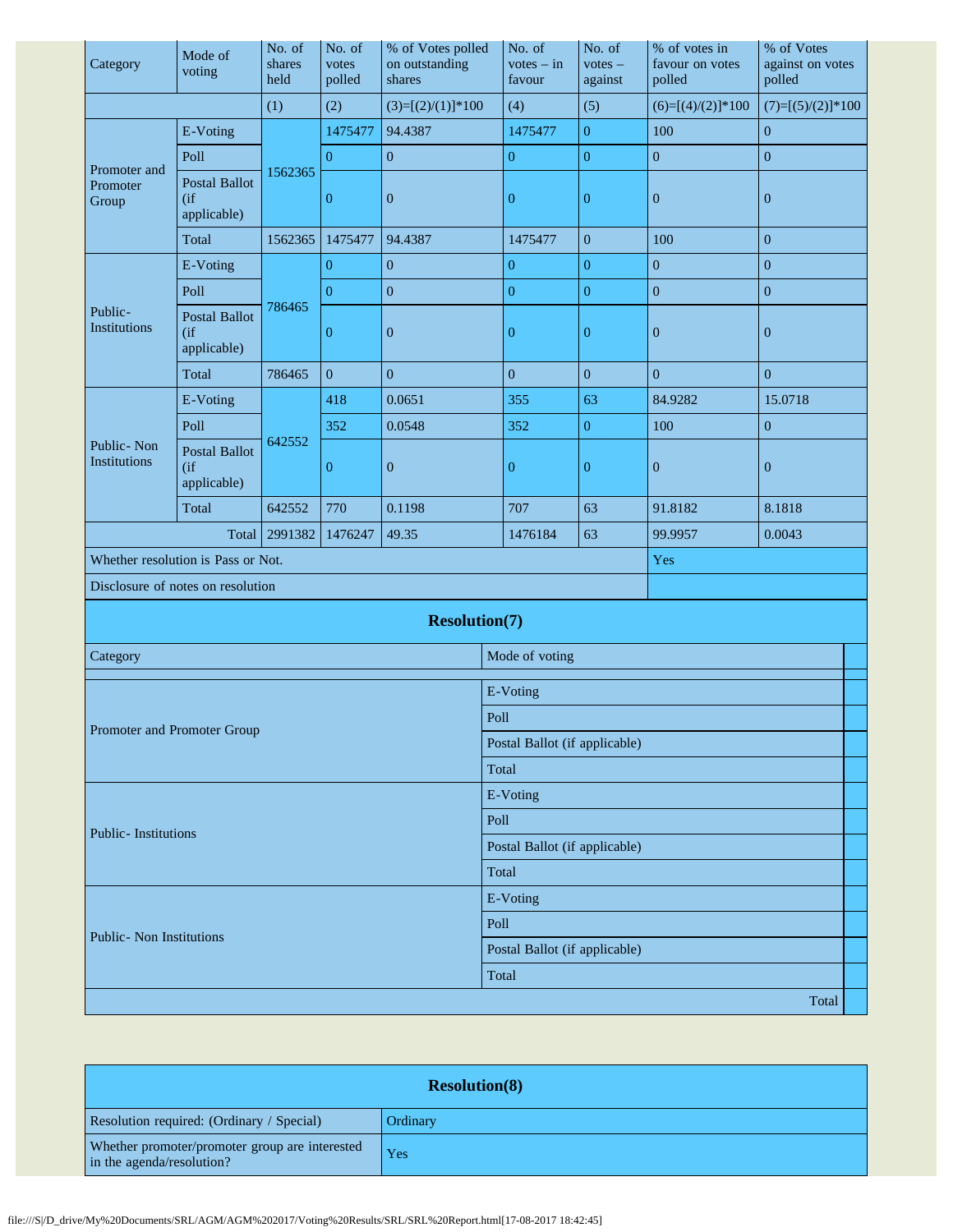| Category                             | Mode of<br>voting                             | No. of<br>shares<br>held | No. of<br>votes<br>polled | % of Votes polled<br>on outstanding<br>shares | No. of<br>$votes - in$<br>favour | No. of<br>$votes -$<br>against | % of votes in<br>favour on votes<br>polled | % of Votes<br>against on votes<br>polled |  |  |
|--------------------------------------|-----------------------------------------------|--------------------------|---------------------------|-----------------------------------------------|----------------------------------|--------------------------------|--------------------------------------------|------------------------------------------|--|--|
|                                      |                                               | (1)                      | (2)                       | $(3)=[(2)/(1)]*100$                           | (4)                              | (5)                            | $(6)=[(4)/(2)]*100$                        | $(7)=[(5)/(2)]*100$                      |  |  |
|                                      | E-Voting                                      |                          | 1475477                   | 94.4387                                       | 1475477                          | $\boldsymbol{0}$               | 100                                        | $\mathbf{0}$                             |  |  |
| Promoter and<br>Promoter<br>Group    | Poll                                          |                          | $\mathbf{0}$              | $\mathbf{0}$                                  | $\boldsymbol{0}$                 | $\boldsymbol{0}$               | $\boldsymbol{0}$                           | $\boldsymbol{0}$                         |  |  |
|                                      | <b>Postal Ballot</b><br>(if)<br>applicable)   | 1562365                  | $\overline{0}$            | $\boldsymbol{0}$                              | $\boldsymbol{0}$                 | $\boldsymbol{0}$               | $\boldsymbol{0}$                           | $\boldsymbol{0}$                         |  |  |
|                                      | Total                                         | 1562365                  | 1475477                   | 94.4387                                       | 1475477                          | $\boldsymbol{0}$               | 100                                        | $\boldsymbol{0}$                         |  |  |
|                                      | E-Voting                                      |                          | $\mathbf{0}$              | $\boldsymbol{0}$                              | $\boldsymbol{0}$                 | $\boldsymbol{0}$               | $\overline{0}$                             | $\mathbf{0}$                             |  |  |
|                                      | Poll                                          |                          | $\overline{0}$            | $\boldsymbol{0}$                              | $\overline{0}$                   | $\boldsymbol{0}$               | $\overline{0}$                             | $\boldsymbol{0}$                         |  |  |
| Public-<br>Institutions              | <b>Postal Ballot</b><br>(ii)<br>applicable)   | 786465                   | $\mathbf{0}$              | $\boldsymbol{0}$                              | $\mathbf{0}$                     | $\mathbf{0}$                   | $\mathbf{0}$                               | $\boldsymbol{0}$                         |  |  |
|                                      | Total                                         | 786465                   | $\boldsymbol{0}$          | $\boldsymbol{0}$                              | $\boldsymbol{0}$                 | $\boldsymbol{0}$               | $\boldsymbol{0}$                           | $\boldsymbol{0}$                         |  |  |
|                                      | E-Voting                                      |                          | 418                       | 0.0651                                        | 355                              | 63                             | 84.9282                                    | 15.0718                                  |  |  |
|                                      | Poll                                          |                          | 352                       | 0.0548                                        | 352                              | $\boldsymbol{0}$               | 100                                        | $\boldsymbol{0}$                         |  |  |
| Public-Non<br>Institutions           | <b>Postal Ballot</b><br>$($ if<br>applicable) | 642552                   | $\overline{0}$            | $\boldsymbol{0}$                              | $\mathbf{0}$                     | $\boldsymbol{0}$               | $\boldsymbol{0}$                           | $\boldsymbol{0}$                         |  |  |
|                                      | Total                                         | 642552                   | 770                       | 0.1198                                        | 707                              | 63                             | 91.8182                                    | 8.1818                                   |  |  |
| 2991382<br>1476247<br>49.35<br>Total |                                               |                          |                           |                                               | 1476184                          | 63                             | 99.9957                                    | 0.0043                                   |  |  |
| Whether resolution is Pass or Not.   |                                               |                          |                           |                                               |                                  |                                | Yes                                        |                                          |  |  |
| Disclosure of notes on resolution    |                                               |                          |                           |                                               |                                  |                                |                                            |                                          |  |  |
|                                      |                                               |                          |                           | <b>Resolution(7)</b>                          |                                  |                                |                                            |                                          |  |  |
| Category                             |                                               |                          |                           |                                               | Mode of voting                   |                                |                                            |                                          |  |  |
|                                      |                                               |                          |                           |                                               | E-Voting                         |                                |                                            |                                          |  |  |
|                                      |                                               |                          |                           |                                               | Poll                             |                                |                                            |                                          |  |  |
| Promoter and Promoter Group          |                                               |                          |                           |                                               | Postal Ballot (if applicable)    |                                |                                            |                                          |  |  |
|                                      |                                               |                          |                           |                                               | Total                            |                                |                                            |                                          |  |  |
|                                      |                                               |                          |                           |                                               | E-Voting                         |                                |                                            |                                          |  |  |
|                                      |                                               |                          |                           |                                               | Poll                             |                                |                                            |                                          |  |  |
| <b>Public-Institutions</b>           |                                               |                          |                           |                                               | Postal Ballot (if applicable)    |                                |                                            |                                          |  |  |
|                                      |                                               |                          |                           |                                               |                                  | Total                          |                                            |                                          |  |  |
|                                      |                                               |                          |                           |                                               | E-Voting                         |                                |                                            |                                          |  |  |
|                                      |                                               |                          |                           |                                               | Poll                             |                                |                                            |                                          |  |  |
|                                      | <b>Public- Non Institutions</b>               |                          |                           |                                               |                                  | Postal Ballot (if applicable)  |                                            |                                          |  |  |
|                                      |                                               |                          |                           |                                               | Total                            |                                |                                            |                                          |  |  |
|                                      |                                               |                          |                           |                                               |                                  |                                |                                            | Total                                    |  |  |

| <b>Resolution(8)</b>                                                        |          |  |  |  |  |  |
|-----------------------------------------------------------------------------|----------|--|--|--|--|--|
| Resolution required: (Ordinary / Special)                                   | Ordinary |  |  |  |  |  |
| Whether promoter/promoter group are interested<br>in the agenda/resolution? | Yes      |  |  |  |  |  |